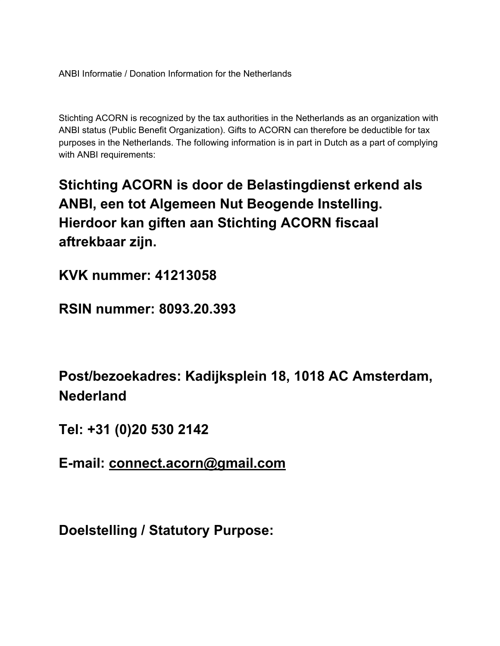ANBI Informatie / Donation Information for the Netherlands

Stichting ACORN is recognized by the tax authorities in the Netherlands as an organization with ANBI status (Public Benefit Organization). Gifts to ACORN can therefore be deductible for tax purposes in the Netherlands. The following information is in part in Dutch as a part of complying with ANBI requirements:

**Stichting ACORN is door de Belastingdienst erkend als ANBI, een tot Algemeen Nut Beogende Instelling. Hierdoor kan giften aan Stichting ACORN fiscaal aftrekbaar zijn.**

**KVK nummer: 41213058**

**RSIN nummer: 8093.20.393**

**Post/bezoekadres: Kadijksplein 18, 1018 AC Amsterdam, Nederland**

**Tel: +31 (0)20 530 2142**

**E-mail: connect.acorn@gmail.com**

**Doelstelling / Statutory Purpose:**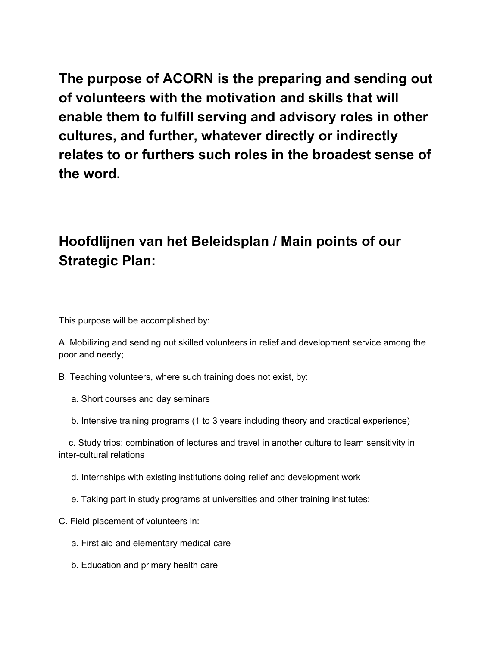**The purpose of ACORN is the preparing and sending out of volunteers with the motivation and skills that will enable them to fulfill serving and advisory roles in other cultures, and further, whatever directly or indirectly relates to or furthers such roles in the broadest sense of the word.**

## **Hoofdlijnen van het Beleidsplan / Main points of our Strategic Plan:**

This purpose will be accomplished by:

A. Mobilizing and sending out skilled volunteers in relief and development service among the poor and needy;

B. Teaching volunteers, where such training does not exist, by:

- a. Short courses and day seminars
- b. Intensive training programs (1 to 3 years including theory and practical experience)

c. Study trips: combination of lectures and travel in another culture to learn sensitivity in inter-cultural relations

- d. Internships with existing institutions doing relief and development work
- e. Taking part in study programs at universities and other training institutes;
- C. Field placement of volunteers in:
	- a. First aid and elementary medical care
	- b. Education and primary health care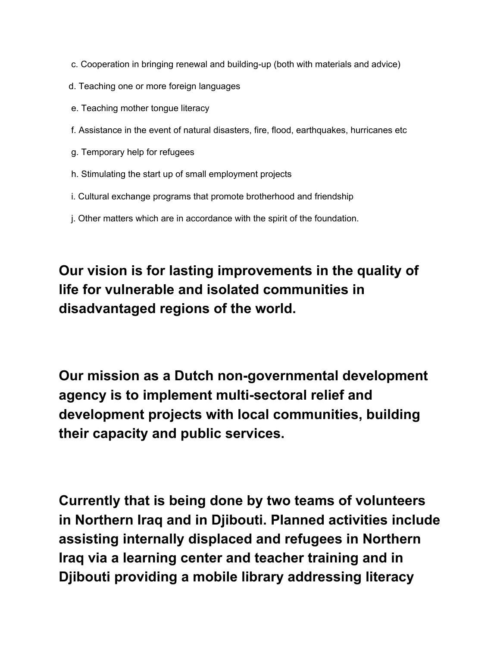- c. Cooperation in bringing renewal and building-up (both with materials and advice)
- d. Teaching one or more foreign languages
- e. Teaching mother tongue literacy
- f. Assistance in the event of natural disasters, fire, flood, earthquakes, hurricanes etc
- g. Temporary help for refugees
- h. Stimulating the start up of small employment projects
- i. Cultural exchange programs that promote brotherhood and friendship
- j. Other matters which are in accordance with the spirit of the foundation.

**Our vision is for lasting improvements in the quality of life for vulnerable and isolated communities in disadvantaged regions of the world.**

**Our mission as a Dutch non-governmental development agency is to implement multi-sectoral relief and development projects with local communities, building their capacity and public services.**

**Currently that is being done by two teams of volunteers in Northern Iraq and in Djibouti. Planned activities include assisting internally displaced and refugees in Northern Iraq via a learning center and teacher training and in Djibouti providing a mobile library addressing literacy**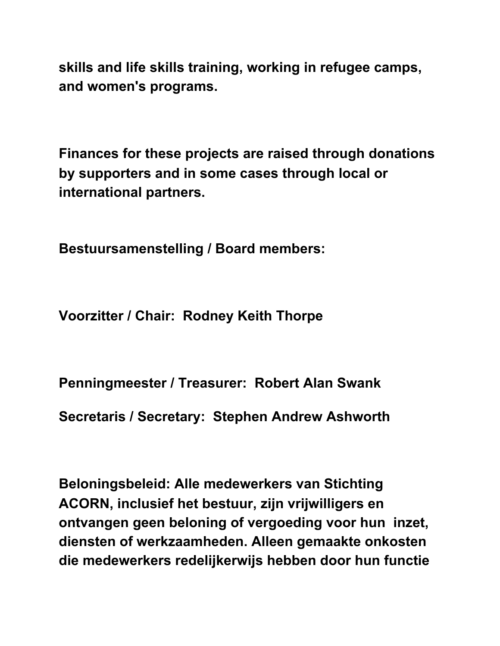**skills and life skills training, working in refugee camps, and women's programs.**

**Finances for these projects are raised through donations by supporters and in some cases through local or international partners.**

**Bestuursamenstelling / Board members:**

**Voorzitter / Chair: Rodney Keith Thorpe**

**Penningmeester / Treasurer: Robert Alan Swank**

**Secretaris / Secretary: Stephen Andrew Ashworth**

**Beloningsbeleid: Alle medewerkers van Stichting ACORN, inclusief het bestuur, zijn vrijwilligers en ontvangen geen beloning of vergoeding voor hun inzet, diensten of werkzaamheden. Alleen gemaakte onkosten die medewerkers redelijkerwijs hebben door hun functie**